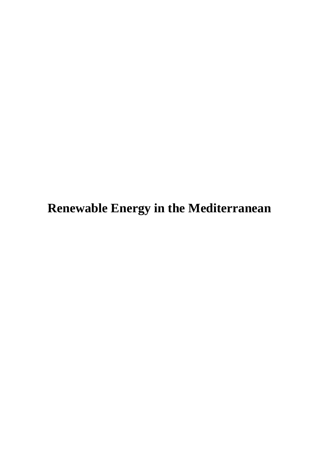**Renewable Energy in the Mediterranean**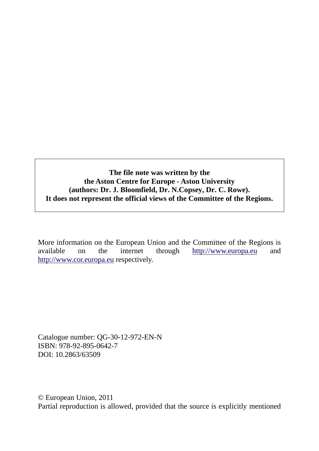**The file note was written by the the Aston Centre for Europe - Aston University (authors: Dr. J. Bloomfield, Dr. N.Copsey, Dr. C. Rowe). It does not represent the official views of the Committee of the Regions.** 

More information on the European Union and the Committee of the Regions is available on the internet through [http://www.europa.eu](http://www.europa.eu/) and [http://www.cor.europa.eu r](http://www.cor.europa.eu/)espectively.

Catalogue number: QG-30-12-972-EN-N ISBN: 978-92-895-0642-7 DOI: 10.2863/63509

© European Union, 2011 Partial reproduction is allowed, provided that the source is explicitly mentioned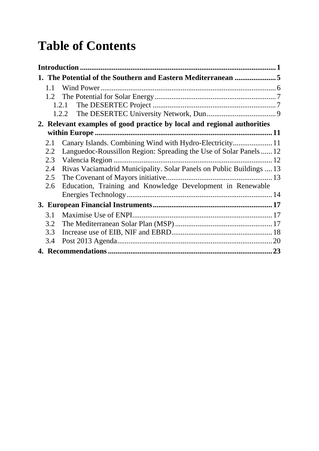# **Table of Contents**

| 1. The Potential of the Southern and Eastern Mediterranean 5                |  |  |  |  |  |
|-----------------------------------------------------------------------------|--|--|--|--|--|
| 1.1                                                                         |  |  |  |  |  |
|                                                                             |  |  |  |  |  |
|                                                                             |  |  |  |  |  |
|                                                                             |  |  |  |  |  |
| 2. Relevant examples of good practice by local and regional authorities     |  |  |  |  |  |
|                                                                             |  |  |  |  |  |
| 2.1                                                                         |  |  |  |  |  |
| Languedoc-Roussillon Region: Spreading the Use of Solar Panels  12<br>2.2   |  |  |  |  |  |
| 2.3                                                                         |  |  |  |  |  |
| Rivas Vaciamadrid Municipality. Solar Panels on Public Buildings  13<br>2.4 |  |  |  |  |  |
| 2.5                                                                         |  |  |  |  |  |
| Education, Training and Knowledge Development in Renewable<br>2.6           |  |  |  |  |  |
|                                                                             |  |  |  |  |  |
|                                                                             |  |  |  |  |  |
| 3.1                                                                         |  |  |  |  |  |
| 3.2                                                                         |  |  |  |  |  |
| 3.3                                                                         |  |  |  |  |  |
| 3.4                                                                         |  |  |  |  |  |
|                                                                             |  |  |  |  |  |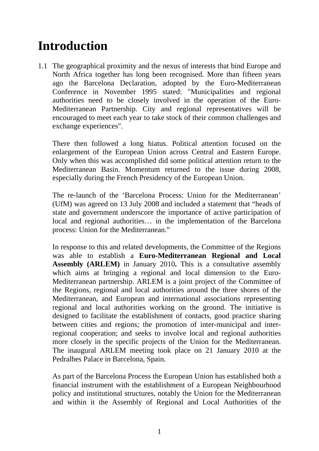# <span id="page-4-0"></span>**Introduction**

1.1 The geographical proximity and the nexus of interests that bind Europe and North Africa together has long been recognised. More than fifteen years ago the Barcelona Declaration, adopted by the Euro-Mediterranean Conference in November 1995 stated: "Municipalities and regional authorities need to be closely involved in the operation of the Euro-Mediterranean Partnership. City and regional representatives will be encouraged to meet each year to take stock of their common challenges and exchange experiences".

 There then followed a long hiatus. Political attention focused on the enlargement of the European Union across Central and Eastern Europe. Only when this was accomplished did some political attention return to the Mediterranean Basin. Momentum returned to the issue during 2008, especially during the French Presidency of the European Union.

 The re-launch of the 'Barcelona Process: Union for the Mediterranean' (UfM) was agreed on 13 July 2008 and included a statement that "heads of state and government underscore the importance of active participation of local and regional authorities… in the implementation of the Barcelona process: Union for the Mediterranean."

 In response to this and related developments, the Committee of the Regions was able to establish a **Euro-Mediterranean Regional and Local Assembly (ARLEM)** in January 2010**.** This is a consultative assembly which aims at bringing a regional and local dimension to the Euro-Mediterranean partnership. ARLEM is a joint project of the Committee of the Regions, regional and local authorities around the three shores of the Mediterranean, and European and international associations representing regional and local authorities working on the ground. The initiative is designed to facilitate the establishment of contacts, good practice sharing between cities and regions; the promotion of inter-municipal and interregional cooperation; and seeks to involve local and regional authorities more closely in the specific projects of the Union for the Mediterranean. The inaugural ARLEM meeting took place on 21 January 2010 at the Pedralbes Palace in Barcelona, Spain.

 As part of the Barcelona Process the European Union has established both a financial instrument with the establishment of a European Neighbourhood policy and institutional structures, notably the Union for the Mediterranean and within it the Assembly of Regional and Local Authorities of the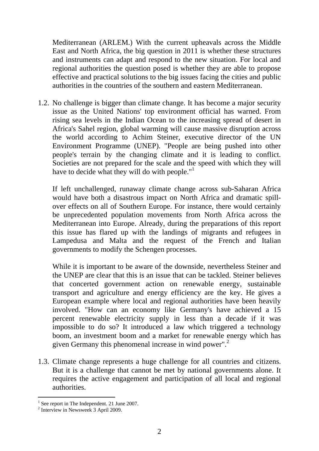Mediterranean (ARLEM.) With the current upheavals across the Middle East and North Africa, the big question in 2011 is whether these structures and instruments can adapt and respond to the new situation. For local and regional authorities the question posed is whether they are able to propose effective and practical solutions to the big issues facing the cities and public authorities in the countries of the southern and eastern Mediterranean.

1.2. No challenge is bigger than climate change. It has become a major security issue as the United Nations' top environment official has warned. From rising sea levels in the Indian Ocean to the increasing spread of desert in Africa's Sahel region, global warming will cause massive disruption across the world according to Achim Steiner, executive director of the UN Environment Programme (UNEP). "People are being pushed into other people's terrain by the changing climate and it is leading to conflict. Societies are not prepared for the scale and the speed with which they will have to decide what they will do with people."<sup>1</sup>

 If left unchallenged, runaway climate change across sub-Saharan Africa would have both a disastrous impact on North Africa and dramatic spillover effects on all of Southern Europe. For instance, there would certainly be unprecedented population movements from North Africa across the Mediterranean into Europe. Already, during the preparations of this report this issue has flared up with the landings of migrants and refugees in Lampedusa and Malta and the request of the French and Italian governments to modify the Schengen processes.

 While it is important to be aware of the downside, nevertheless Steiner and the UNEP are clear that this is an issue that can be tackled. Steiner believes that concerted government action on renewable energy, sustainable transport and agriculture and energy efficiency are the key. He gives a European example where local and regional authorities have been heavily involved. "How can an economy like Germany's have achieved a 15 percent renewable electricity supply in less than a decade if it was impossible to do so? It introduced a law which triggered a technology boom, an investment boom and a market for renewable energy which has given Germany this phenomenal increase in wind power".<sup>2</sup>

1.3. Climate change represents a huge challenge for all countries and citizens. But it is a challenge that cannot be met by national governments alone. It requires the active engagement and participation of all local and regional authorities.

<sup>&</sup>lt;sup>1</sup> See report in The Independent. 21 June 2007.

<sup>2</sup> Interview in Newsweek 3 April 2009.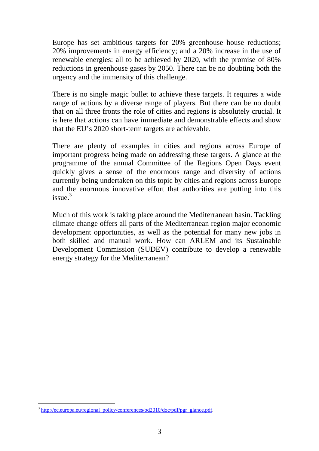Europe has set ambitious targets for 20% greenhouse house reductions; 20% improvements in energy efficiency; and a 20% increase in the use of renewable energies: all to be achieved by 2020, with the promise of 80% reductions in greenhouse gases by 2050. There can be no doubting both the urgency and the immensity of this challenge.

 There is no single magic bullet to achieve these targets. It requires a wide range of actions by a diverse range of players. But there can be no doubt that on all three fronts the role of cities and regions is absolutely crucial. It is here that actions can have immediate and demonstrable effects and show that the EU's 2020 short-term targets are achievable.

 There are plenty of examples in cities and regions across Europe of important progress being made on addressing these targets. A glance at the programme of the annual Committee of the Regions Open Days event quickly gives a sense of the enormous range and diversity of actions currently being undertaken on this topic by cities and regions across Europe and the enormous innovative effort that authorities are putting into this  $is <sup>3</sup>$ 

 Much of this work is taking place around the Mediterranean basin. Tackling climate change offers all parts of the Mediterranean region major economic development opportunities, as well as the potential for many new jobs in both skilled and manual work. How can ARLEM and its Sustainable Development Commission (SUDEV) contribute to develop a renewable energy strategy for the Mediterranean?

 $3$  http://ec.europa.eu/regional\_policy/conferences/od2010/doc/pdf/pgr\_glance.pdf.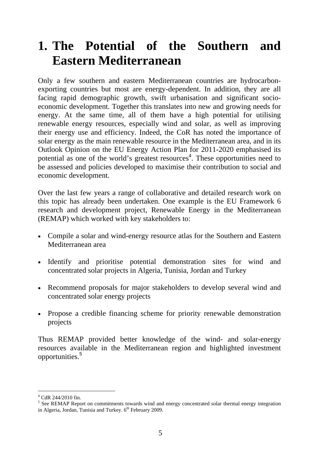# <span id="page-8-0"></span>**1. The Potential of the Southern and Eastern Mediterranean**

Only a few southern and eastern Mediterranean countries are hydrocarbonexporting countries but most are energy-dependent. In addition, they are all facing rapid demographic growth, swift urbanisation and significant socioeconomic development. Together this translates into new and growing needs for energy. At the same time, all of them have a high potential for utilising renewable energy resources, especially wind and solar, as well as improving their energy use and efficiency. Indeed, the CoR has noted the importance of solar energy as the main renewable resource in the Mediterranean area, and in its Outlook Opinion on the EU Energy Action Plan for 2011-2020 emphasised its potential as one of the world's greatest resources<sup>4</sup>. These opportunities need to be assessed and policies developed to maximise their contribution to social and economic development.

Over the last few years a range of collaborative and detailed research work on this topic has already been undertaken. One example is the EU Framework 6 research and development project, Renewable Energy in the Mediterranean (REMAP) which worked with key stakeholders to:

- Compile a solar and wind-energy resource atlas for the Southern and Eastern Mediterranean area
- Identify and prioritise potential demonstration sites for wind and concentrated solar projects in Algeria, Tunisia, Jordan and Turkey
- Recommend proposals for major stakeholders to develop several wind and concentrated solar energy projects
- Propose a credible financing scheme for priority renewable demonstration projects

Thus REMAP provided better knowledge of the wind- and solar-energy resources available in the Mediterranean region and highlighted investment opportunities.<sup>5</sup>

<sup>-</sup>4 CdR 244/2010 fin.

<sup>&</sup>lt;sup>5</sup> See REMAP Report on commitments towards wind and energy concentrated solar thermal energy integration in Algeria, Jordan, Tunisia and Turkey.  $6<sup>th</sup>$  February 2009.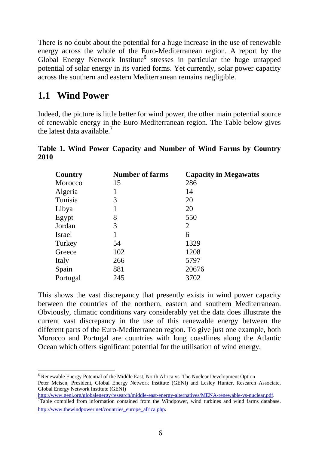There is no doubt about the potential for a huge increase in the use of renewable energy across the whole of the Euro-Mediterranean region. A report by the Global Energy Network Institute<sup>6</sup> stresses in particular the huge untapped potential of solar energy in its varied forms. Yet currently, solar power capacity across the southern and eastern Mediterranean remains negligible.

#### <span id="page-9-0"></span>**1.1 Wind Power**

Indeed, the picture is little better for wind power, the other main potential source of renewable energy in the Euro-Mediterranean region. The Table below gives the latest data available.<sup>7</sup>

|      |  | Table 1. Wind Power Capacity and Number of Wind Farms by Country |  |  |  |  |
|------|--|------------------------------------------------------------------|--|--|--|--|
| 2010 |  |                                                                  |  |  |  |  |

| Country  | <b>Number of farms</b> | <b>Capacity in Megawatts</b> |
|----------|------------------------|------------------------------|
| Morocco  | 15                     | 286                          |
| Algeria  |                        | 14                           |
| Tunisia  | 3                      | 20                           |
| Libya    |                        | 20                           |
| Egypt    | 8                      | 550                          |
| Jordan   | 3                      | 2                            |
| Israel   |                        | 6                            |
| Turkey   | 54                     | 1329                         |
| Greece   | 102                    | 1208                         |
| Italy    | 266                    | 5797                         |
| Spain    | 881                    | 20676                        |
| Portugal | 245                    | 3702                         |

This shows the vast discrepancy that presently exists in wind power capacity between the countries of the northern, eastern and southern Mediterranean. Obviously, climatic conditions vary considerably yet the data does illustrate the current vast discrepancy in the use of this renewable energy between the different parts of the Euro-Mediterranean region. To give just one example, both Morocco and Portugal are countries with long coastlines along the Atlantic Ocean which offers significant potential for the utilisation of wind energy.

 $\overline{a}$ <sup>6</sup> Renewable Energy Potential of the Middle East, North Africa vs. The Nuclear Development Option Peter Meisen, President, Global Energy Network Institute (GENI) and Lesley Hunter, Research Associate, Global Energy Network Institute (GENI)

[http://www.geni.org/globalenergy/research/middle-east-energy-alternatives/MENA-renewable-vs-nuclear.pdf. 7](http://www.geni.org/globalenergy/research/middle-east-energy-alternatives/MENA-renewable-vs-nuclear.pdf) <sup>7</sup>Table compiled from information contained from the Windpower, wind turbines and wind farms database. http://www.thewindpower.net/countries\_europe\_africa.php.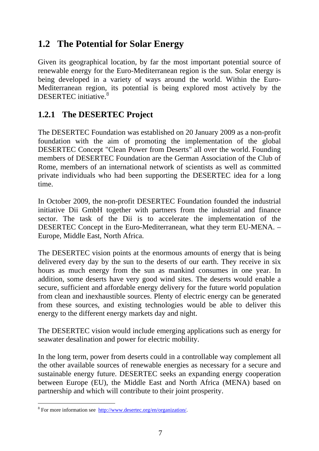#### <span id="page-10-0"></span>**1.2 The Potential for Solar Energy**

Given its geographical location, by far the most important potential source of renewable energy for the Euro-Mediterranean region is the sun. Solar energy is being developed in a variety of ways around the world. Within the Euro-Mediterranean region, its potential is being explored most actively by the DESERTEC initiative.<sup>8</sup>

#### <span id="page-10-1"></span>**1.2.1 The DESERTEC Project**

The DESERTEC Foundation was established on 20 January 2009 as a non-profit foundation with the aim of promoting the implementation of the global DESERTEC Concept "Clean Power from Deserts" all over the world. Founding members of DESERTEC Foundation are the German Association of the Club of Rome, members of an international network of scientists as well as committed private individuals who had been supporting the DESERTEC idea for a long time.

In October 2009, the non-profit DESERTEC Foundation founded the industrial initiative Dii GmbH together with partners from the industrial and finance sector. The task of the Dii is to accelerate the implementation of the DESERTEC Concept in the Euro-Mediterranean, what they term EU-MENA. – Europe, Middle East, North Africa.

The DESERTEC vision points at the enormous amounts of energy that is being delivered every day by the sun to the deserts of our earth. They receive in six hours as much energy from the sun as mankind consumes in one year. In addition, some deserts have very good wind sites. The deserts would enable a secure, sufficient and affordable energy delivery for the future world population from clean and inexhaustible sources. Plenty of electric energy can be generated from these sources, and existing technologies would be able to deliver this energy to the different energy markets day and night.

The DESERTEC vision would include emerging applications such as energy for seawater desalination and power for electric mobility.

In the long term, power from deserts could in a controllable way complement all the other available sources of renewable energies as necessary for a secure and sustainable energy future. DESERTEC seeks an expanding energy cooperation between Europe (EU), the Middle East and North Africa (MENA) based on partnership and which will contribute to their joint prosperity.

<sup>-&</sup>lt;br><sup>8</sup> For more information see http://www.desertec.org/en/organization/.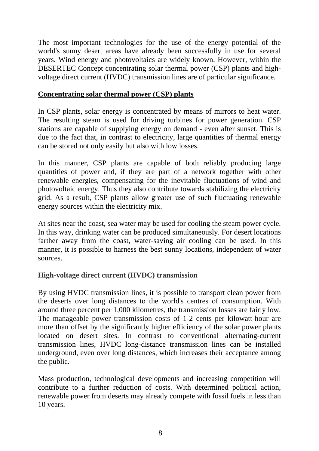The most important technologies for the use of the energy potential of the world's sunny desert areas have already been successfully in use for several years. Wind energy and photovoltaics are widely known. However, within the DESERTEC Concept concentrating solar thermal power (CSP) plants and highvoltage direct current (HVDC) transmission lines are of particular significance.

#### **Concentrating solar thermal power (CSP) plants**

In CSP plants, solar energy is concentrated by means of mirrors to heat water. The resulting steam is used for driving turbines for power generation. CSP stations are capable of supplying energy on demand - even after sunset. This is due to the fact that, in contrast to electricity, large quantities of thermal energy can be stored not only easily but also with low losses.

In this manner, CSP plants are capable of both reliably producing large quantities of power and, if they are part of a network together with other renewable energies, compensating for the inevitable fluctuations of wind and photovoltaic energy. Thus they also contribute towards stabilizing the electricity grid. As a result, CSP plants allow greater use of such fluctuating renewable energy sources within the electricity mix.

At sites near the coast, sea water may be used for cooling the steam power cycle. In this way, drinking water can be produced simultaneously. For desert locations farther away from the coast, water-saving air cooling can be used. In this manner, it is possible to harness the best sunny locations, independent of water sources.

#### **High-voltage direct current (HVDC) transmission**

By using HVDC transmission lines, it is possible to transport clean power from the deserts over long distances to the world's centres of consumption. With around three percent per 1,000 kilometres, the transmission losses are fairly low. The manageable power transmission costs of 1-2 cents per kilowatt-hour are more than offset by the significantly higher efficiency of the solar power plants located on desert sites. In contrast to conventional alternating-current transmission lines, HVDC long-distance transmission lines can be installed underground, even over long distances, which increases their acceptance among the public.

Mass production, technological developments and increasing competition will contribute to a further reduction of costs. With determined political action, renewable power from deserts may already compete with fossil fuels in less than 10 years.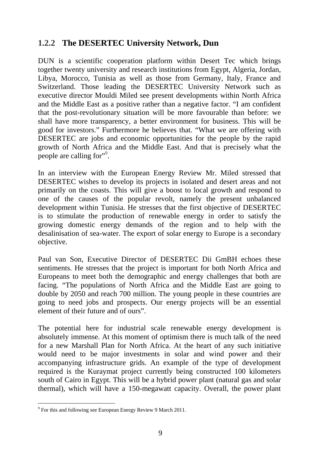#### <span id="page-12-0"></span>**1.2.2 The DESERTEC University Network, Dun**

DUN is a scientific cooperation platform within Desert Tec which brings together twenty university and research institutions from Egypt, Algeria, Jordan, Libya, Morocco, Tunisia as well as those from Germany, Italy, France and Switzerland. Those leading the DESERTEC University Network such as executive director Mouldi Miled see present developments within North Africa and the Middle East as a positive rather than a negative factor. "I am confident that the post-revolutionary situation will be more favourable than before: we shall have more transparency, a better environment for business. This will be good for investors." Furthermore he believes that. "What we are offering with DESERTEC are jobs and economic opportunities for the people by the rapid growth of North Africa and the Middle East. And that is precisely what the people are calling for $"$ <sup>9</sup>.

In an interview with the [European Energy Review](http://www.europeanenergyreview.eu/) Mr. Miled stressed that DESERTEC wishes to develop its projects in isolated and desert areas and not primarily on the coasts. This will give a boost to local growth and respond to one of the causes of the popular revolt, namely the present unbalanced development within Tunisia. He stresses that the first objective of DESERTEC is to stimulate the production of renewable energy in order to satisfy the growing domestic energy demands of the region and to help with the desalinisation of sea-water. The export of solar energy to Europe is a secondary objective.

Paul van Son, Executive Director of DESERTEC Dii GmBH echoes these sentiments. He stresses that the project is important for both North Africa and Europeans to meet both the demographic and energy challenges that both are facing. "The populations of North Africa and the Middle East are going to double by 2050 and reach 700 million. The young people in these countries are going to need jobs and prospects. Our energy projects will be an essential element of their future and of ours".

The potential here for industrial scale renewable energy development is absolutely immense. At this moment of optimism there is much talk of the need for a new Marshall Plan for North Africa. At the heart of any such initiative would need to be major investments in solar and wind power and their accompanying infrastructure grids. An example of the type of development required is the Kuraymat project currently being constructed 100 kilometers south of Cairo in Egypt. This will be a hybrid power plant (natural gas and solar thermal), which will have a 150-megawatt capacity. Overall, the power plant

<sup>-</sup><sup>9</sup> For this and following see European Energy Review 9 March 2011.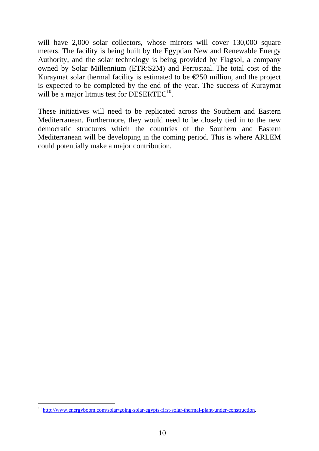will have 2,000 solar collectors, whose mirrors will cover 130,000 square meters. The facility is being built by the Egyptian New and Renewable Energy Authority, and the solar technology is being provided by Flagsol, a company owned by [Solar Millennium](http://www.solarmillennium.de/index,lang2,1,1664.html) [\(ETR:S2M\)](http://www.google.ca/finance?q=ETR%3AS2M) and [Ferrostaal.](http://www.ferrostaal.com/) The total cost of the Kuraymat solar thermal facility is estimated to be  $\epsilon$ 250 million, and the project is expected to be completed by the end of the year. The success of Kuraymat will be a major litmus test for DESERTEC<sup>10</sup>.

These initiatives will need to be replicated across the Southern and Eastern Mediterranean. Furthermore, they would need to be closely tied in to the new democratic structures which the countries of the Southern and Eastern Mediterranean will be developing in the coming period. This is where ARLEM could potentially make a major contribution.

<sup>&</sup>lt;sup>10</sup> http://www.energyboom.com/solar/going-solar-egypts-first-solar-thermal-plant-under-construction.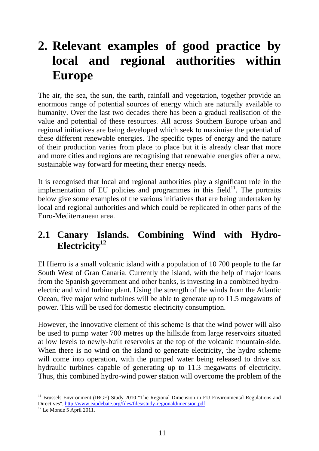# <span id="page-14-0"></span>**2. Relevant examples of good practice by local and regional authorities within Europe**

The air, the sea, the sun, the earth, rainfall and vegetation, together provide an enormous range of potential sources of energy which are naturally available to humanity. Over the last two decades there has been a gradual realisation of the value and potential of these resources. All across Southern Europe urban and regional initiatives are being developed which seek to maximise the potential of these different renewable energies. The specific types of energy and the nature of their production varies from place to place but it is already clear that more and more cities and regions are recognising that renewable energies offer a new, sustainable way forward for meeting their energy needs.

It is recognised that local and regional authorities play a significant role in the implementation of EU policies and programmes in this field $^{11}$ . The portraits below give some examples of the various initiatives that are being undertaken by local and regional authorities and which could be replicated in other parts of the Euro-Mediterranean area.

## <span id="page-14-1"></span>**2.1 Canary Islands. Combining Wind with Hydro-**Electricity<sup>12</sup>

El Hierro is a small volcanic island with a population of 10 700 people to the far South West of Gran Canaria. Currently the island, with the help of major loans from the Spanish government and other banks, is investing in a combined hydroelectric and wind turbine plant. Using the strength of the winds from the Atlantic Ocean, five major wind turbines will be able to generate up to 11.5 megawatts of power. This will be used for domestic electricity consumption.

However, the innovative element of this scheme is that the wind power will also be used to pump water 700 metres up the hillside from large reservoirs situated at low levels to newly-built reservoirs at the top of the volcanic mountain-side. When there is no wind on the island to generate electricity, the hydro scheme will come into operation, with the pumped water being released to drive six hydraulic turbines capable of generating up to 11.3 megawatts of electricity. Thus, this combined hydro-wind power station will overcome the problem of the

<sup>&</sup>lt;sup>11</sup> Brussels Environment (IBGE) Study 2010 "The Regional Dimension in EU Environmental Regulations and Directives", http://www.eapdebate.org/files/files/study-regionaldimension.pdf.<br><sup>12</sup> Le Monde 5 April 2011.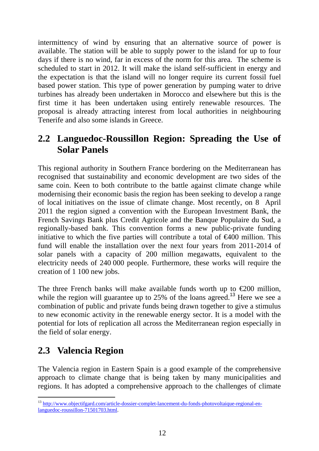intermittency of wind by ensuring that an alternative source of power is available. The station will be able to supply power to the island for up to four days if there is no wind, far in excess of the norm for this area. The scheme is scheduled to start in 2012. It will make the island self-sufficient in energy and the expectation is that the island will no longer require its current fossil fuel based power station. This type of power generation by pumping water to drive turbines has already been undertaken in Morocco and elsewhere but this is the first time it has been undertaken using entirely renewable resources. The proposal is already attracting interest from local authorities in neighbouring Tenerife and also some islands in Greece.

### <span id="page-15-0"></span>**2.2 Languedoc-Roussillon Region: Spreading the Use of Solar Panels**

This regional authority in Southern France bordering on the Mediterranean has recognised that sustainability and economic development are two sides of the same coin. Keen to both contribute to the battle against climate change while modernising their economic basis the region has been seeking to develop a range of local initiatives on the issue of climate change. Most recently, on 8 April 2011 the region signed a convention with the European Investment Bank, the French Savings Bank plus Credit Agricole and the Banque Populaire du Sud, a regionally-based bank. This convention forms a new public-private funding initiative to which the five parties will contribute a total of  $\epsilon 400$  million. This fund will enable the installation over the next four years from 2011-2014 of solar panels with a capacity of 200 million megawatts, equivalent to the electricity needs of 240 000 people. Furthermore, these works will require the creation of 1 100 new jobs.

The three French banks will make available funds worth up to  $\epsilon$ 200 million, while the region will guarantee up to 25% of the loans agreed.<sup>13</sup> Here we see a combination of public and private funds being drawn together to give a stimulus to new economic activity in the renewable energy sector. It is a model with the potential for lots of replication all across the Mediterranean region especially in the field of solar energy.

## <span id="page-15-1"></span>**2.3 Valencia Region**

The Valencia region in Eastern Spain is a good example of the comprehensive approach to climate change that is being taken by many municipalities and regions. It has adopted a comprehensive approach to the challenges of climate

<sup>13</sup> [http://www.objectifgard.com/article-dossier-complet-lancement-du-fonds-photovoltaique-regional-en](http://www.objectifgard.com/article-dossier-complet-lancement-du-fonds-photovoltaique-regional-en-languedoc-roussillon-71501703.html)languedoc-roussillon-71501703.html.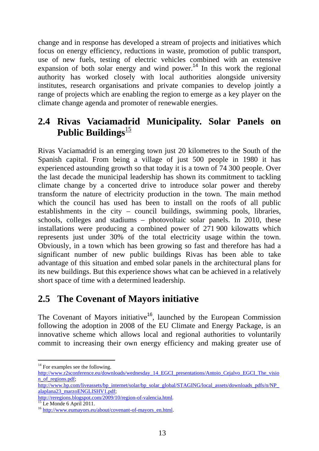change and in response has developed a stream of projects and initiatives which focus on energy efficiency, reductions in waste, promotion of public transport, use of new fuels, testing of electric vehicles combined with an extensive expansion of both solar energy and wind power.<sup>14</sup> In this work the regional authority has worked closely with local authorities alongside university institutes, research organisations and private companies to develop jointly a range of projects which are enabling the region to emerge as a key player on the climate change agenda and promoter of renewable energies.

#### <span id="page-16-0"></span>**2.4 Rivas Vaciamadrid Municipality. Solar Panels on Public Buildings**<sup>15</sup>

Rivas Vaciamadrid is an emerging town just 20 kilometres to the South of the Spanish capital. From being a village of just 500 people in 1980 it has experienced astounding growth so that today it is a town of 74 300 people. Over the last decade the municipal leadership has shown its commitment to tackling climate change by a concerted drive to introduce solar power and thereby transform the nature of electricity production in the town. The main method which the council has used has been to install on the roofs of all public establishments in the city – council buildings, swimming pools, libraries, schools, colleges and stadiums – photovoltaic solar panels. In 2010, these installations were producing a combined power of 271 900 kilowatts which represents just under 30% of the total electricity usage within the town. Obviously, in a town which has been growing so fast and therefore has had a significant number of new public buildings Rivas has been able to take advantage of this situation and embed solar panels in the architectural plans for its new buildings. But this experience shows what can be achieved in a relatively short space of time with a determined leadership.

## <span id="page-16-1"></span>**2.5 The Covenant of Mayors initiative**

The Covenant of Mayors initiative<sup>16</sup>, launched by the European Commission following the adoption in 2008 of the EU Climate and Energy Package, is an innovative scheme which allows local and regional authorities to voluntarily commit to increasing their own energy efficiency and making greater use of

<sup>&</sup>lt;sup>14</sup> For examples see the following.

[http://www.r2sconference.eu/downloads/wednesday\\_14\\_EGCI\\_presentations/Antoio\\_Cejalvo\\_EGCI\\_The\\_visio](http://www.r2sconference.eu/downloads/wednesday_14_EGCI_presentations/Antoio_Cejalvo_EGCI_The_vision_of_regions.pdf) [n\\_of\\_regions.pdf;](http://www.r2sconference.eu/downloads/wednesday_14_EGCI_presentations/Antoio_Cejalvo_EGCI_The_vision_of_regions.pdf) 

[http://www.bp.com/liveassets/bp\\_internet/solar/bp\\_solar\\_global/STAGING/local\\_assets/downloads\\_pdfs/n/NP\\_](http://www.bp.com/liveassets/bp_internet/solar/bp_solar_global/STAGING/local_assets/downloads_pdfs/n/NP_alaplana23_marzoENGLISHV1.pdf) [alaplana23\\_marzoENGLISHV1.pdf;](http://www.bp.com/liveassets/bp_internet/solar/bp_solar_global/STAGING/local_assets/downloads_pdfs/n/NP_alaplana23_marzoENGLISHV1.pdf) 

http://reregions.blogspot.com/2009/10/region-of-valencia.html.<br><sup>15</sup> Le Monde 6 April 2011.

<sup>16</sup> [http://www.eumayors.eu/about/covenant-of-mayors\\_en.html.](http://www.eumayors.eu/about/covenant-of-mayors_en.html)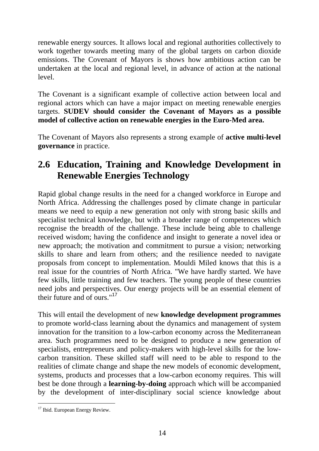renewable energy sources. It allows local and regional authorities collectively to work together towards meeting many of the global targets on carbon dioxide emissions. The Covenant of Mayors is shows how ambitious action can be undertaken at the local and regional level, in advance of action at the national level.

The Covenant is a significant example of collective action between local and regional actors which can have a major impact on meeting renewable energies targets. **SUDEV should consider the Covenant of Mayors as a possible model of collective action on renewable energies in the Euro-Med area.** 

The Covenant of Mayors also represents a strong example of **active multi-level governance** in practice.

## <span id="page-17-0"></span>**2.6 Education, Training and Knowledge Development in Renewable Energies Technology**

Rapid global change results in the need for a changed workforce in Europe and North Africa. Addressing the challenges posed by climate change in particular means we need to equip a new generation not only with strong basic skills and specialist technical knowledge, but with a broader range of competences which recognise the breadth of the challenge. These include being able to challenge received wisdom; having the confidence and insight to generate a novel idea or new approach; the motivation and commitment to pursue a vision; networking skills to share and learn from others; and the resilience needed to navigate proposals from concept to implementation. Mouldi Miled knows that this is a real issue for the countries of North Africa. "We have hardly started. We have few skills, little training and few teachers. The young people of these countries need jobs and perspectives. Our energy projects will be an essential element of their future and of ours."<sup>17</sup>

This will entail the development of new **knowledge development programmes** to promote world-class learning about the dynamics and management of system innovation for the transition to a low-carbon economy across the Mediterranean area. Such programmes need to be designed to produce a new generation of specialists, entrepreneurs and policy-makers with high-level skills for the lowcarbon transition. These skilled staff will need to be able to respond to the realities of climate change and shape the new models of economic development, systems, products and processes that a low-carbon economy requires. This will best be done through a **learning-by-doing** approach which will be accompanied by the development of inter-disciplinary social science knowledge about

<sup>-</sup><sup>17</sup> Ibid. European Energy Review.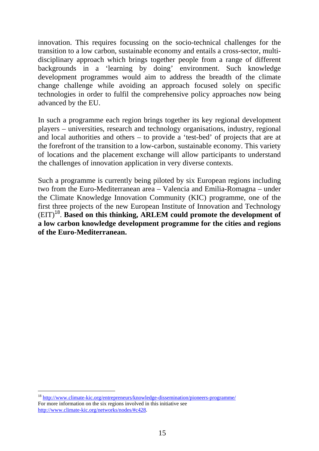innovation. This requires focussing on the socio-technical challenges for the transition to a low carbon, sustainable economy and entails a cross-sector, multidisciplinary approach which brings together people from a range of different backgrounds in a 'learning by doing' environment. Such knowledge development programmes would aim to address the breadth of the climate change challenge while avoiding an approach focused solely on specific technologies in order to fulfil the comprehensive policy approaches now being advanced by the EU.

In such a programme each region brings together its key regional development players – universities, research and technology organisations, industry, regional and local authorities and others – to provide a 'test-bed' of projects that are at the forefront of the transition to a low-carbon, sustainable economy. This variety of locations and the placement exchange will allow participants to understand the challenges of innovation application in very diverse contexts.

Such a programme is currently being piloted by six European regions including two from the Euro-Mediterranean area – Valencia and Emilia-Romagna – under the Climate Knowledge Innovation Community (KIC) programme, one of the first three projects of the new European Institute of Innovation and Technology (EIT)<sup>18</sup>. **Based on this thinking, ARLEM could promote the development of a low carbon knowledge development programme for the cities and regions of the Euro-Mediterranean.** 

<sup>&</sup>lt;sup>18</sup> [http://w](http://www.climate-kic.org/entrepreneurs/knowledge-dissemination/pioneers-programme/)ww.climate-kic.org/entrepreneurs/knowledge-dissemination/pioneers-programme/ For more information on the six regions involved in this initiative see [http://www.climate-kic.org/networks/nodes/#c428.](http://www.climate-kic.org/networks/nodes/#c428)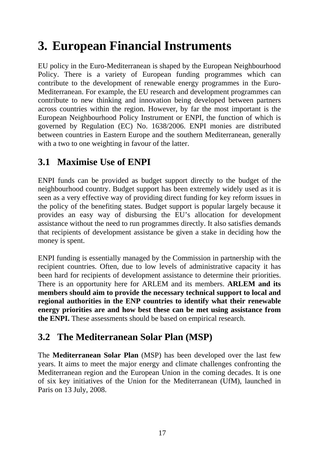# <span id="page-20-0"></span>**3. European Financial Instruments**

EU policy in the Euro-Mediterranean is shaped by the European Neighbourhood Policy. There is a variety of European funding programmes which can contribute to the development of renewable energy programmes in the Euro-Mediterranean. For example, the EU research and development programmes can contribute to new thinking and innovation being developed between partners across countries within the region. However, by far the most important is the European Neighbourhood Policy Instrument or ENPI, the function of which is governed by Regulation (EC) No. 1638/2006. ENPI monies are distributed between countries in Eastern Europe and the southern Mediterranean, generally with a two to one weighting in favour of the latter.

## <span id="page-20-1"></span>**3.1 Maximise Use of ENPI**

ENPI funds can be provided as budget support directly to the budget of the neighbourhood country. Budget support has been extremely widely used as it is seen as a very effective way of providing direct funding for key reform issues in the policy of the benefiting states. Budget support is popular largely because it provides an easy way of disbursing the EU's allocation for development assistance without the need to run programmes directly. It also satisfies demands that recipients of development assistance be given a stake in deciding how the money is spent.

ENPI funding is essentially managed by the Commission in partnership with the recipient countries. Often, due to low levels of administrative capacity it has been hard for recipients of development assistance to determine their priorities. There is an opportunity here for ARLEM and its members. **ARLEM and its members should aim to provide the necessary technical support to local and regional authorities in the ENP countries to identify what their renewable energy priorities are and how best these can be met using assistance from the ENPI.** These assessments should be based on empirical research.

## <span id="page-20-2"></span>**3.2 The Mediterranean Solar Plan (MSP)**

The **Mediterranean Solar Plan** (MSP) has been developed over the last few years. It aims to meet the major energy and climate challenges confronting the Mediterranean region and the European Union in the coming decades. It is one of six key initiatives of the Union for the Mediterranean (UfM), launched in Paris on 13 July, 2008.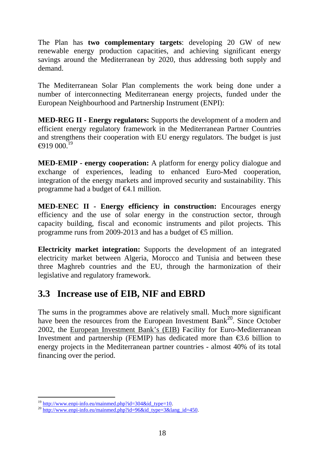The Plan has **two complementary targets**: developing 20 GW of new renewable energy production capacities, and achieving significant energy savings around the Mediterranean by 2020, thus addressing both supply and demand.

The Mediterranean Solar Plan complements the work being done under a number of interconnecting Mediterranean energy projects, funded under the European Neighbourhood and Partnership Instrument (ENPI):

**MED-REG II - Energy regulators:** Supports the development of a modern and efficient energy regulatory framework in the Mediterranean Partner Countries and strengthens their cooperation with EU energy regulators. The budget is just  $\bigoplus$ 19 000.<sup>19</sup>

**MED-EMIP - energy cooperation:** A platform for energy policy dialogue and exchange of experiences, leading to enhanced Euro-Med cooperation, integration of the energy markets and improved security and sustainability. This programme had a budget of  $\bigoplus$ .1 million.

**MED-ENEC II - Energy efficiency in construction:** Encourages energy efficiency and the use of solar energy in the construction sector, through capacity building, fiscal and economic instruments and pilot projects. This programme runs from 2009-2013 and has a budget of  $\epsilon$  million.

**Electricity market integration:** Supports the development of an integrated electricity market between Algeria, Morocco and Tunisia and between these three Maghreb countries and the EU, through the harmonization of their legislative and regulatory framework.

## <span id="page-21-0"></span>**3.3 Increase use of EIB, NIF and EBRD**

The sums in the programmes above are relatively small. Much more significant have been the resources from the European Investment Bank<sup>20</sup>. Since October 2002, the European Investment Bank's (EIB) Facility for Euro-Mediterranean Investment and partnership (FEMIP) has dedicated more than  $\epsilon$ 3.6 billion to energy projects in the Mediterranean partner countries - almost 40% of its total financing over the period.

<sup>-</sup>

<sup>&</sup>lt;sup>19</sup> http://www.enpi-info.eu/mainmed.php?id=304&id\_type=10.<br><sup>20</sup> http://www.enpi-info.eu/mainmed.php?id=96&id\_type=3&lang\_id=450.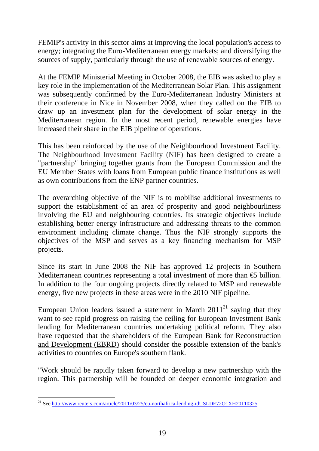FEMIP's activity in this sector aims at improving the local population's access to energy; integrating the Euro-Mediterranean energy markets; and diversifying the sources of supply, particularly through the use of renewable sources of energy.

At the FEMIP Ministerial Meeting in October 2008, the EIB was asked to play a key role in the implementation of the Mediterranean Solar Plan. This assignment was subsequently confirmed by the Euro-Mediterranean Industry Ministers at their conference in Nice in November 2008, when they called on the EIB to draw up an investment plan for the development of solar energy in the Mediterranean region. In the most recent period, renewable energies have increased their share in the EIB pipeline of operations.

This has been reinforced by the use of the Neighbourhood Investment Facility. The [Neighbourhood Investment Facility \(NIF\)](http://ec.europa.eu/europeaid/where/neighbourhood/regional-cooperation/irc/investment_en.htm) has been designed to create a "partnership" bringing together grants from the European Commission and the EU Member States with loans from European public finance institutions as well as own contributions from the ENP partner countries.

The overarching objective of the NIF is to mobilise additional investments to support the establishment of an area of prosperity and good neighbourliness involving the EU and neighbouring countries. Its strategic objectives include establishing better energy infrastructure and addressing threats to the common environment including climate change. Thus the NIF strongly supports the objectives of the MSP and serves as a key financing mechanism for MSP projects.

Since its start in June 2008 the NIF has approved 12 projects in Southern Mediterranean countries representing a total investment of more than  $\epsilon$  billion. In addition to the four ongoing projects directly related to MSP and renewable energy, five new projects in these areas were in the 2010 NIF pipeline.

European Union leaders issued a statement in March  $2011<sup>21</sup>$  saying that they want to see rapid progress on raising the ceiling for European Investment Bank lending for Mediterranean countries undertaking political reform. They also have requested that the shareholders of the European Bank for Reconstruction and Development (EBRD) should consider the possible extension of the bank's activities to countries on Europe's southern flank.

"Work should be rapidly taken forward to develop a new partnership with the region. This partnership will be founded on deeper economic integration and

<sup>-</sup><sup>21</sup> See http://www.reuters.com/article/2011/03/25/eu-northafrica-lending-idUSLDE72O1XH20110325.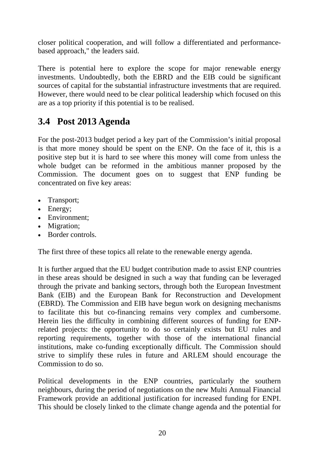closer political cooperation, and will follow a differentiated and performancebased approach," the leaders said.

There is potential here to explore the scope for major renewable energy investments. Undoubtedly, both the EBRD and the EIB could be significant sources of capital for the substantial infrastructure investments that are required. However, there would need to be clear political leadership which focused on this are as a top priority if this potential is to be realised.

### <span id="page-23-0"></span>**3.4 Post 2013 Agenda**

For the post-2013 budget period a key part of the Commission's initial proposal is that more money should be spent on the ENP. On the face of it, this is a positive step but it is hard to see where this money will come from unless the whole budget can be reformed in the ambitious manner proposed by the Commission. The document goes on to suggest that ENP funding be concentrated on five key areas:

- Transport;
- Energy:
- Environment:
- Migration;
- Border controls.

The first three of these topics all relate to the renewable energy agenda.

It is further argued that the EU budget contribution made to assist ENP countries in these areas should be designed in such a way that funding can be leveraged through the private and banking sectors, through both the European Investment Bank (EIB) and the European Bank for Reconstruction and Development (EBRD). The Commission and EIB have begun work on designing mechanisms to facilitate this but co-financing remains very complex and cumbersome. Herein lies the difficulty in combining different sources of funding for ENPrelated projects: the opportunity to do so certainly exists but EU rules and reporting requirements, together with those of the international financial institutions, make co-funding exceptionally difficult. The Commission should strive to simplify these rules in future and ARLEM should encourage the Commission to do so.

Political developments in the ENP countries, particularly the southern neighbours, during the period of negotiations on the new Multi Annual Financial Framework provide an additional justification for increased funding for ENPI. This should be closely linked to the climate change agenda and the potential for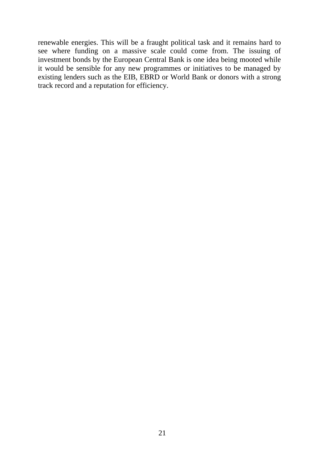renewable energies. This will be a fraught political task and it remains hard to see where funding on a massive scale could come from. The issuing of investment bonds by the European Central Bank is one idea being mooted while it would be sensible for any new programmes or initiatives to be managed by existing lenders such as the EIB, EBRD or World Bank or donors with a strong track record and a reputation for efficiency.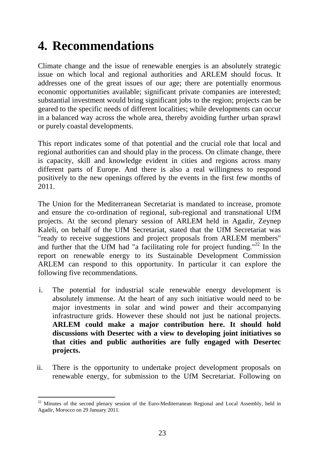# <span id="page-26-0"></span>**4. Recommendations**

Climate change and the issue of renewable energies is an absolutely strategic issue on which local and regional authorities and ARLEM should focus. It addresses one of the great issues of our age; there are potentially enormous economic opportunities available; significant private companies are interested; substantial investment would bring significant jobs to the region; projects can be geared to the specific needs of different localities; while developments can occur in a balanced way across the whole area, thereby avoiding further urban sprawl or purely coastal developments.

This report indicates some of that potential and the crucial role that local and regional authorities can and should play in the process. On climate change, there is capacity, skill and knowledge evident in cities and regions across many different parts of Europe. And there is also a real willingness to respond positively to the new openings offered by the events in the first few months of 2011.

The Union for the Mediterranean Secretariat is mandated to increase, promote and ensure the co-ordination of regional, sub-regional and transnational UfM projects. At the second plenary session of ARLEM held in Agadir, Zeynep Kaleli, on behalf of the UfM Secretariat, stated that the UfM Secretariat was "ready to receive suggestions and project proposals from ARLEM members" and further that the UfM had "a facilitating role for project funding."<sup>22</sup> In the report on renewable energy to its Sustainable Development Commission ARLEM can respond to this opportunity. In particular it can explore the following five recommendations.

- i. The potential for industrial scale renewable energy development is absolutely immense. At the heart of any such initiative would need to be major investments in solar and wind power and their accompanying infrastructure grids. However these should not just be national projects. **ARLEM could make a major contribution here. It should hold discussions with Desertec with a view to developing joint initiatives so that cities and public authorities are fully engaged with Desertec projects.**
- ii. There is the opportunity to undertake project development proposals on renewable energy, for submission to the UfM Secretariat. Following on

<sup>-</sup><sup>22</sup> Minutes of the second plenary session of the Euro-Mediterranean Regional and Local Assembly, held in Agadir, Morocco on 29 January 2011.